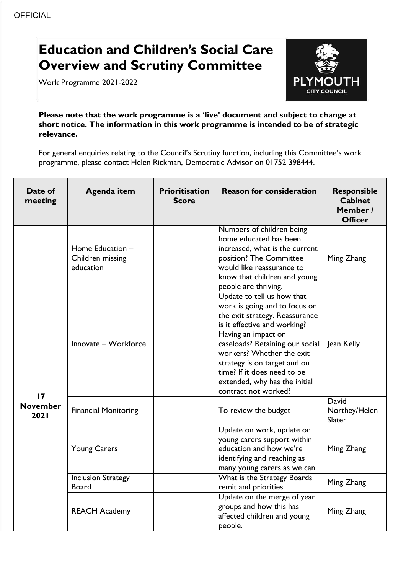## **Education and Children's Social Care Overview and Scrutiny Committee**

Work Programme 2021-2022



**Please note that the work programme is a 'live' document and subject to change at short notice. The information in this work programme is intended to be of strategic relevance.**

For general enquiries relating to the Council's Scrutiny function, including this Committee's work programme, please contact Helen Rickman, Democratic Advisor on 01752 398444.

| Date of<br>meeting            | Agenda item                                       | <b>Prioritisation</b><br><b>Score</b> | <b>Reason for consideration</b>                                                                                                                                                                                                                                                                                                              | <b>Responsible</b><br><b>Cabinet</b><br>Member /<br><b>Officer</b> |
|-------------------------------|---------------------------------------------------|---------------------------------------|----------------------------------------------------------------------------------------------------------------------------------------------------------------------------------------------------------------------------------------------------------------------------------------------------------------------------------------------|--------------------------------------------------------------------|
| 17<br><b>November</b><br>2021 | Home Education -<br>Children missing<br>education |                                       | Numbers of children being<br>home educated has been<br>increased, what is the current<br>position? The Committee<br>would like reassurance to<br>know that children and young<br>people are thriving.                                                                                                                                        | Ming Zhang                                                         |
|                               | Innovate - Workforce                              |                                       | Update to tell us how that<br>work is going and to focus on<br>the exit strategy. Reassurance<br>is it effective and working?<br>Having an impact on<br>caseloads? Retaining our social<br>workers? Whether the exit<br>strategy is on target and on<br>time? If it does need to be<br>extended, why has the initial<br>contract not worked? | Jean Kelly                                                         |
|                               | <b>Financial Monitoring</b>                       |                                       | To review the budget                                                                                                                                                                                                                                                                                                                         | <b>David</b><br>Northey/Helen<br>Slater                            |
|                               | <b>Young Carers</b>                               |                                       | Update on work, update on<br>young carers support within<br>education and how we're<br>identifying and reaching as<br>many young carers as we can.                                                                                                                                                                                           | Ming Zhang                                                         |
|                               | <b>Inclusion Strategy</b><br><b>Board</b>         |                                       | What is the Strategy Boards<br>remit and priorities.                                                                                                                                                                                                                                                                                         | Ming Zhang                                                         |
|                               | <b>REACH Academy</b>                              |                                       | Update on the merge of year<br>groups and how this has<br>affected children and young<br>people.                                                                                                                                                                                                                                             | Ming Zhang                                                         |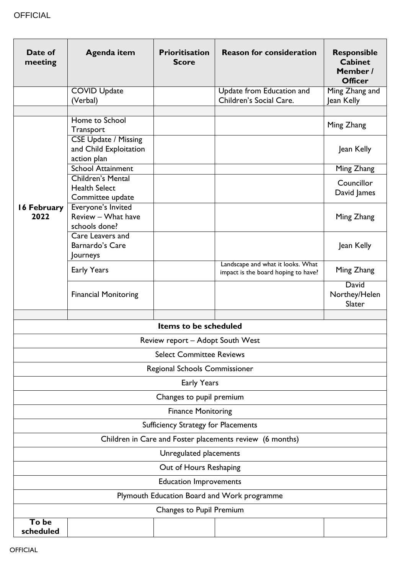| Date of<br>meeting                                                      | Agenda item                                                          | <b>Prioritisation</b><br><b>Score</b> | <b>Reason for consideration</b>                                          | <b>Responsible</b><br><b>Cabinet</b><br>Member /<br><b>Officer</b> |
|-------------------------------------------------------------------------|----------------------------------------------------------------------|---------------------------------------|--------------------------------------------------------------------------|--------------------------------------------------------------------|
|                                                                         | <b>COVID Update</b><br>(Verbal)                                      |                                       | Update from Education and<br>Children's Social Care.                     | Ming Zhang and<br>Jean Kelly                                       |
|                                                                         |                                                                      |                                       |                                                                          |                                                                    |
|                                                                         | Home to School<br>Transport                                          |                                       |                                                                          | Ming Zhang                                                         |
|                                                                         | <b>CSE Update / Missing</b><br>and Child Exploitation<br>action plan |                                       |                                                                          | Jean Kelly                                                         |
|                                                                         | <b>School Attainment</b>                                             |                                       |                                                                          | Ming Zhang                                                         |
| 16 February<br>2022                                                     | <b>Children's Mental</b><br><b>Health Select</b><br>Committee update |                                       |                                                                          | Councillor<br>David James                                          |
|                                                                         | Everyone's Invited<br>Review - What have<br>schools done?            |                                       |                                                                          | Ming Zhang                                                         |
|                                                                         | Care Leavers and<br>Barnardo's Care<br>Journeys                      |                                       |                                                                          | Jean Kelly                                                         |
|                                                                         | Early Years                                                          |                                       | Landscape and what it looks. What<br>impact is the board hoping to have? | Ming Zhang                                                         |
|                                                                         | <b>Financial Monitoring</b>                                          |                                       |                                                                          | David<br>Northey/Helen<br>Slater                                   |
|                                                                         |                                                                      |                                       |                                                                          |                                                                    |
|                                                                         |                                                                      | Items to be scheduled                 |                                                                          |                                                                    |
|                                                                         |                                                                      | Review report - Adopt South West      |                                                                          |                                                                    |
| <b>Select Committee Reviews</b>                                         |                                                                      |                                       |                                                                          |                                                                    |
| Regional Schools Commissioner                                           |                                                                      |                                       |                                                                          |                                                                    |
|                                                                         |                                                                      | Early Years                           |                                                                          |                                                                    |
| Changes to pupil premium                                                |                                                                      |                                       |                                                                          |                                                                    |
| <b>Finance Monitoring</b><br><b>Sufficiency Strategy for Placements</b> |                                                                      |                                       |                                                                          |                                                                    |
| Children in Care and Foster placements review (6 months)                |                                                                      |                                       |                                                                          |                                                                    |
| Unregulated placements                                                  |                                                                      |                                       |                                                                          |                                                                    |
| Out of Hours Reshaping                                                  |                                                                      |                                       |                                                                          |                                                                    |
| <b>Education Improvements</b>                                           |                                                                      |                                       |                                                                          |                                                                    |
| Plymouth Education Board and Work programme                             |                                                                      |                                       |                                                                          |                                                                    |
| Changes to Pupil Premium                                                |                                                                      |                                       |                                                                          |                                                                    |
| To be                                                                   |                                                                      |                                       |                                                                          |                                                                    |
| scheduled                                                               |                                                                      |                                       |                                                                          |                                                                    |